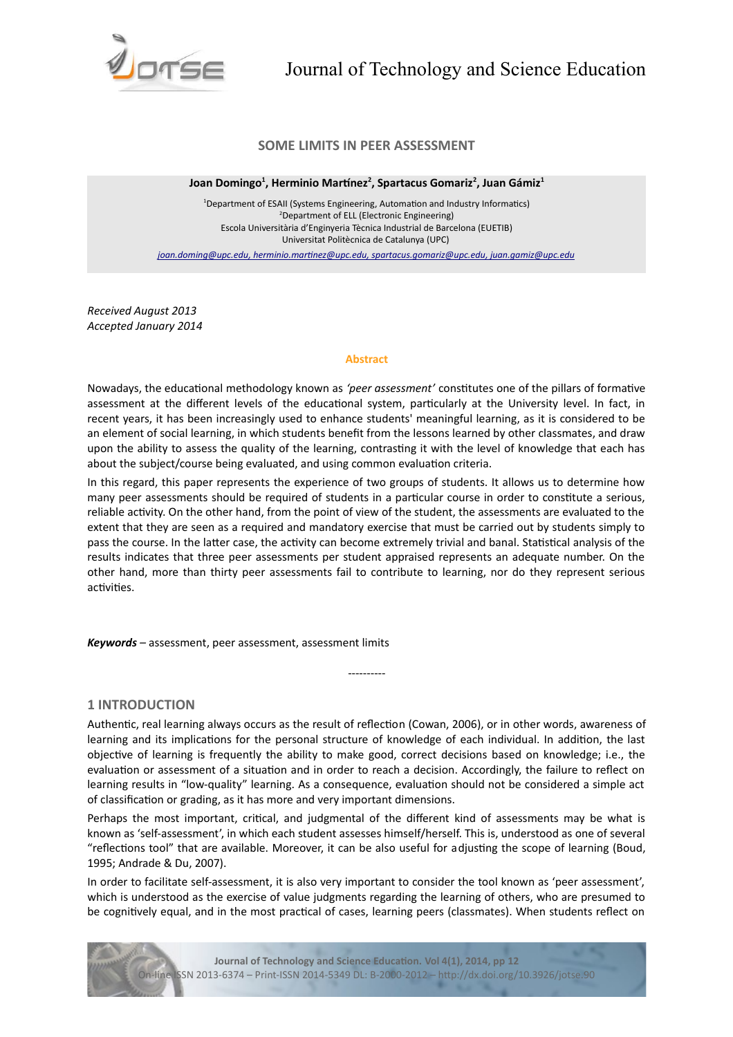

# **SOME LIMITS IN PEER ASSESSMENT**

**Joan Domingo<sup>1</sup> , Herminio Martnez<sup>2</sup> , Spartacus Gomariz<sup>2</sup> , Juan Gámiz<sup>1</sup>**

<sup>1</sup>Department of ESAII (Systems Engineering, Automation and Industry Informatics) <sup>2</sup>Department of ELL (Electronic Engineering) Escola Universitària d'Enginyeria Tècnica Industrial de Barcelona (EUETIB) Universitat Politècnica de Catalunya (UPC)

 *[joan.doming@upc.edu ,](mailto:joan.doming@upc.edu) [herminio.martnez@upc.edu ,](mailto:herminio.martinez@upc.edu) [spartacus.gomariz@upc.edu,](mailto:spartacus.gomariz@upc.edu) juan.gamiz@upc.edu*

*Received August 2013 Accepted January 2014*

#### **Abstract**

Nowadays, the educational methodology known as 'peer assessment' constitutes one of the pillars of formative assessment at the different levels of the educational system, particularly at the University level. In fact, in recent years, it has been increasingly used to enhance students' meaningful learning, as it is considered to be an element of social learning, in which students benefit from the lessons learned by other classmates, and draw upon the ability to assess the quality of the learning, contrastng it with the level of knowledge that each has about the subject/course being evaluated, and using common evaluation criteria.

In this regard, this paper represents the experience of two groups of students. It allows us to determine how many peer assessments should be required of students in a particular course in order to constitute a serious, reliable activity. On the other hand, from the point of view of the student, the assessments are evaluated to the extent that they are seen as a required and mandatory exercise that must be carried out by students simply to pass the course. In the latter case, the activity can become extremely trivial and banal. Statistical analysis of the results indicates that three peer assessments per student appraised represents an adequate number. On the other hand, more than thirty peer assessments fail to contribute to learning, nor do they represent serious activities.

*Keywords –* assessment, peer assessment, assessment limits

## **1 INTRODUCTION**

Authentic, real learning always occurs as the result of reflection (Cowan, 2006), or in other words, awareness of learning and its implications for the personal structure of knowledge of each individual. In addition, the last objective of learning is frequently the ability to make good, correct decisions based on knowledge; i.e., the evaluation or assessment of a situation and in order to reach a decision. Accordingly, the failure to reflect on learning results in "low-quality" learning. As a consequence, evaluaton should not be considered a simple act of classification or grading, as it has more and very important dimensions.

----------

Perhaps the most important, critical, and judgmental of the different kind of assessments may be what is known as 'self-assessment', in which each student assesses himself/herself. This is, understood as one of several "refectons tool" that are available. Moreover, it can be also useful for adjustng the scope of learning (Boud, 1995; Andrade & Du, 2007).

In order to facilitate self-assessment, it is also very important to consider the tool known as 'peer assessment', which is understood as the exercise of value judgments regarding the learning of others, who are presumed to be cognitively equal, and in the most practical of cases, learning peers (classmates). When students reflect on



**Journal of Technology and Science Educaton. Vol 4(1), 2014, pp 12** On-line ISSN 2013-6374 – Print-ISSN 2014-5349 DL: B-2000-2012 – htp://dx.doi.org/10.3926/jotse.90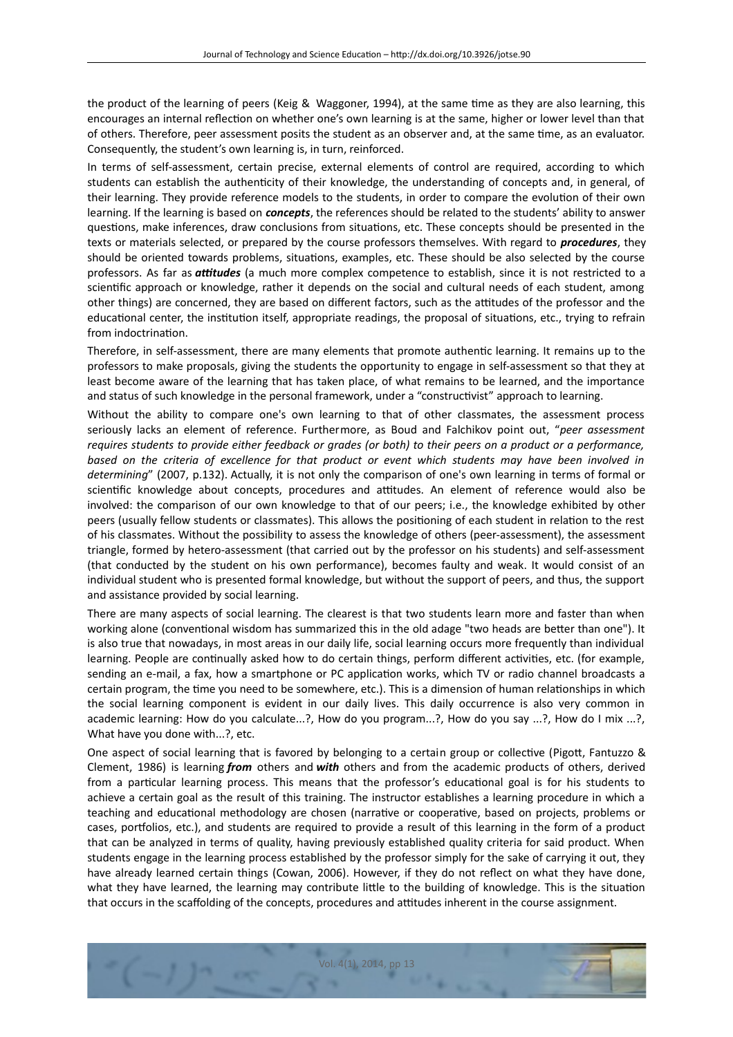the product of the learning of peers (Keig & Waggoner, 1994), at the same tme as they are also learning, this encourages an internal refecton on whether one's own learning is at the same, higher or lower level than that of others. Therefore, peer assessment posits the student as an observer and, at the same tme, as an evaluator. Consequently, the student's own learning is, in turn, reinforced.

In terms of self-assessment, certain precise, external elements of control are required, according to which students can establish the authenticity of their knowledge, the understanding of concepts and, in general, of their learning. They provide reference models to the students, in order to compare the evoluton of their own learning. If the learning is based on *concepts*, the references should be related to the students' ability to answer questions, make inferences, draw conclusions from situations, etc. These concepts should be presented in the texts or materials selected, or prepared by the course professors themselves. With regard to *procedures*, they should be oriented towards problems, situatons, examples, etc. These should be also selected by the course professors. As far as *attudes* (a much more complex competence to establish, since it is not restricted to a scientific approach or knowledge, rather it depends on the social and cultural needs of each student, among other things) are concerned, they are based on different factors, such as the attitudes of the professor and the educational center, the institution itself, appropriate readings, the proposal of situations, etc., trying to refrain from indoctrination.

Therefore, in self-assessment, there are many elements that promote authentic learning. It remains up to the professors to make proposals, giving the students the opportunity to engage in self-assessment so that they at least become aware of the learning that has taken place, of what remains to be learned, and the importance and status of such knowledge in the personal framework, under a "constructivist" approach to learning.

Without the ability to compare one's own learning to that of other classmates, the assessment process seriously lacks an element of reference. Furthermore, as Boud and Falchikov point out, "*peer assessment requires students to provide either feedback or grades (or both) to their peers on a product or a performance, based on the criteria of excellence for that product or event which students may have been involved in determining*" (2007, p.132). Actually, it is not only the comparison of one's own learning in terms of formal or scientific knowledge about concepts, procedures and attitudes. An element of reference would also be involved: the comparison of our own knowledge to that of our peers; i.e., the knowledge exhibited by other peers (usually fellow students or classmates). This allows the positoning of each student in relaton to the rest of his classmates. Without the possibility to assess the knowledge of others (peer-assessment), the assessment triangle, formed by hetero-assessment (that carried out by the professor on his students) and self-assessment (that conducted by the student on his own performance), becomes faulty and weak. It would consist of an individual student who is presented formal knowledge, but without the support of peers, and thus, the support and assistance provided by social learning.

There are many aspects of social learning. The clearest is that two students learn more and faster than when working alone (conventional wisdom has summarized this in the old adage "two heads are better than one"). It is also true that nowadays, in most areas in our daily life, social learning occurs more frequently than individual learning. People are continually asked how to do certain things, perform different activities, etc. (for example, sending an e-mail, a fax, how a smartphone or PC application works, which TV or radio channel broadcasts a certain program, the tme you need to be somewhere, etc.). This is a dimension of human relatonships in which the social learning component is evident in our daily lives. This daily occurrence is also very common in academic learning: How do you calculate...?, How do you program...?, How do you say ...?, How do I mix ...?, What have you done with...?, etc.

One aspect of social learning that is favored by belonging to a certain group or collective (Pigott, Fantuzzo & Clement, 1986) is learning *from* others and *with* others and from the academic products of others, derived from a particular learning process. This means that the professor's educational goal is for his students to achieve a certain goal as the result of this training. The instructor establishes a learning procedure in which a teaching and educational methodology are chosen (narrative or cooperative, based on projects, problems or cases, portfolios, etc.), and students are required to provide a result of this learning in the form of a product that can be analyzed in terms of quality, having previously established quality criteria for said product. When students engage in the learning process established by the professor simply for the sake of carrying it out, they have already learned certain things (Cowan, 2006). However, if they do not refect on what they have done, what they have learned, the learning may contribute little to the building of knowledge. This is the situation that occurs in the scaffolding of the concepts, procedures and attitudes inherent in the course assignment.

Vol. 4(1), 2014, pp 13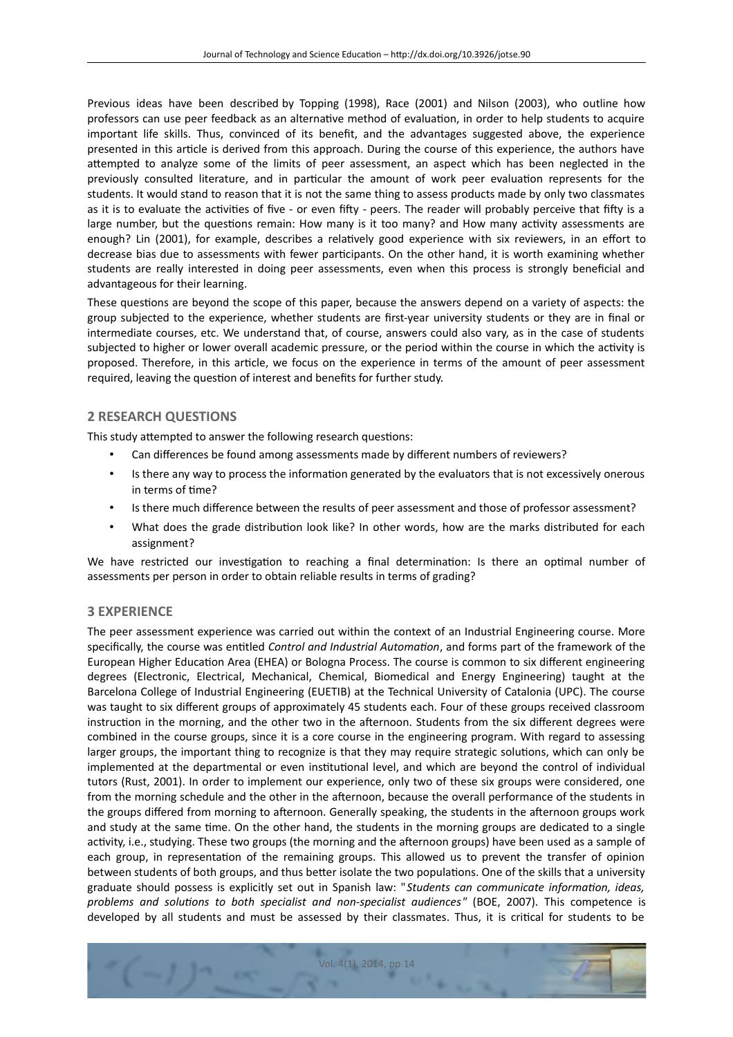Previous ideas have been described by Topping (1998), Race (2001) and Nilson (2003), who outline how professors can use peer feedback as an alternatve method of evaluaton, in order to help students to acquire important life skills. Thus, convinced of its beneft, and the advantages suggested above, the experience presented in this artcle is derived from this approach. During the course of this experience, the authors have atempted to analyze some of the limits of peer assessment, an aspect which has been neglected in the previously consulted literature, and in particular the amount of work peer evaluation represents for the students. It would stand to reason that it is not the same thing to assess products made by only two classmates as it is to evaluate the activities of five - or even fifty - peers. The reader will probably perceive that fifty is a large number, but the questions remain: How many is it too many? and How many activity assessments are enough? Lin (2001), for example, describes a relatvely good experience with six reviewers, in an efort to decrease bias due to assessments with fewer partcipants. On the other hand, it is worth examining whether students are really interested in doing peer assessments, even when this process is strongly benefcial and advantageous for their learning.

These questions are beyond the scope of this paper, because the answers depend on a variety of aspects: the group subjected to the experience, whether students are frst-year university students or they are in fnal or intermediate courses, etc. We understand that, of course, answers could also vary, as in the case of students subjected to higher or lower overall academic pressure, or the period within the course in which the activity is proposed. Therefore, in this article, we focus on the experience in terms of the amount of peer assessment required, leaving the question of interest and benefits for further study.

## **2 RESEARCH QUESTIONS**

This study attempted to answer the following research questions:

- Can diferences be found among assessments made by diferent numbers of reviewers?
- Is there any way to process the information generated by the evaluators that is not excessively onerous in terms of time?
- Is there much diference between the results of peer assessment and those of professor assessment?
- What does the grade distribution look like? In other words, how are the marks distributed for each assignment?

We have restricted our investigation to reaching a final determination: Is there an optimal number of assessments per person in order to obtain reliable results in terms of grading?

## **3 EXPERIENCE**

The peer assessment experience was carried out within the context of an Industrial Engineering course. More specifcally, the course was enttled *Control and Industrial Automaton*, and forms part of the framework of the European Higher Education Area (EHEA) or Bologna Process. The course is common to six different engineering degrees (Electronic, Electrical, Mechanical, Chemical, Biomedical and Energy Engineering) taught at the Barcelona College of Industrial Engineering (EUETIB) at the Technical University of Catalonia (UPC). The course was taught to six diferent groups of approximately 45 students each. Four of these groups received classroom instruction in the morning, and the other two in the afternoon. Students from the six different degrees were combined in the course groups, since it is a core course in the engineering program. With regard to assessing larger groups, the important thing to recognize is that they may require strategic solutons, which can only be implemented at the departmental or even insttutonal level, and which are beyond the control of individual tutors (Rust, 2001). In order to implement our experience, only two of these six groups were considered, one from the morning schedule and the other in the afernoon, because the overall performance of the students in the groups differed from morning to afternoon. Generally speaking, the students in the afternoon groups work and study at the same time. On the other hand, the students in the morning groups are dedicated to a single activity, i.e., studying. These two groups (the morning and the afternoon groups) have been used as a sample of each group, in representation of the remaining groups. This allowed us to prevent the transfer of opinion between students of both groups, and thus better isolate the two populations. One of the skills that a university graduate should possess is explicitly set out in Spanish law: "*Students can communicate informaton, ideas, problems and solutons to both specialist and non-specialist audiences"* (BOE, 2007). This competence is developed by all students and must be assessed by their classmates. Thus, it is critcal for students to be

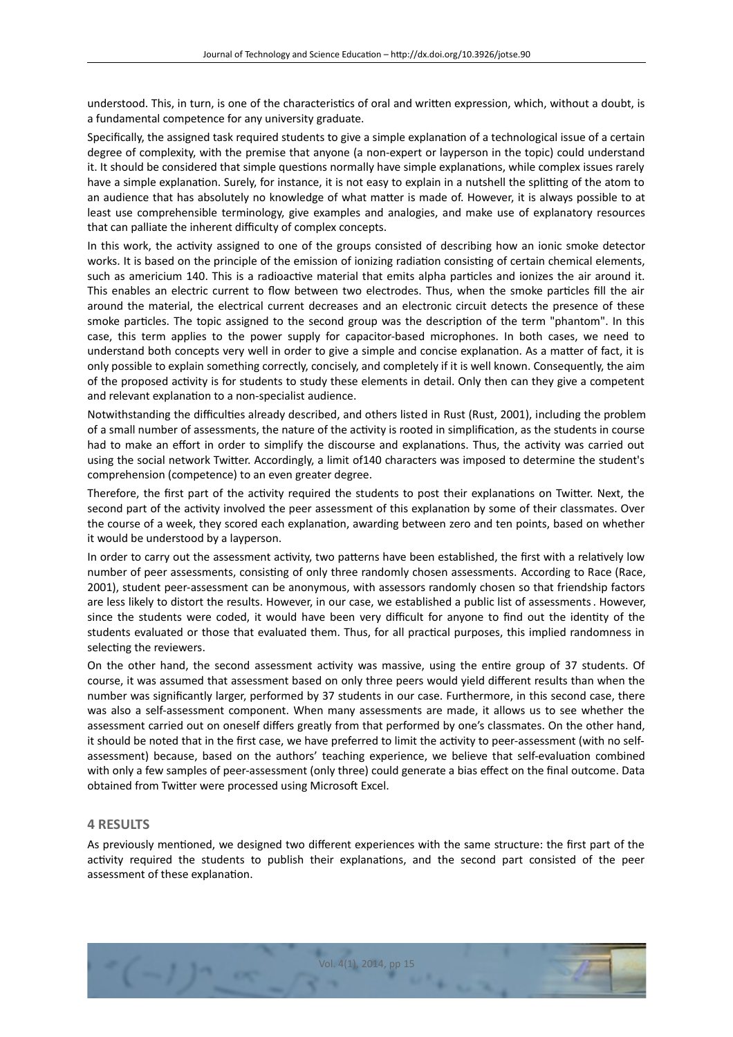understood. This, in turn, is one of the characteristcs of oral and writen expression, which, without a doubt, is a fundamental competence for any university graduate.

Specifcally, the assigned task required students to give a simple explanaton of a technological issue of a certain degree of complexity, with the premise that anyone (a non-expert or layperson in the topic) could understand it. It should be considered that simple questions normally have simple explanations, while complex issues rarely have a simple explanation. Surely, for instance, it is not easy to explain in a nutshell the splitting of the atom to an audience that has absolutely no knowledge of what matter is made of. However, it is always possible to at least use comprehensible terminology, give examples and analogies, and make use of explanatory resources that can palliate the inherent difficulty of complex concepts.

In this work, the activity assigned to one of the groups consisted of describing how an ionic smoke detector works. It is based on the principle of the emission of ionizing radiation consisting of certain chemical elements, such as americium 140. This is a radioactive material that emits alpha particles and ionizes the air around it. This enables an electric current to flow between two electrodes. Thus, when the smoke particles fill the air around the material, the electrical current decreases and an electronic circuit detects the presence of these smoke particles. The topic assigned to the second group was the description of the term "phantom". In this case, this term applies to the power supply for capacitor-based microphones. In both cases, we need to understand both concepts very well in order to give a simple and concise explanaton. As a mater of fact, it is only possible to explain something correctly, concisely, and completely if it is well known. Consequently, the aim of the proposed actvity is for students to study these elements in detail. Only then can they give a competent and relevant explanation to a non-specialist audience.

Notwithstanding the difficulties already described, and others listed in Rust (Rust, 2001), including the problem of a small number of assessments, the nature of the activity is rooted in simplification, as the students in course had to make an effort in order to simplify the discourse and explanations. Thus, the activity was carried out using the social network Twiter. Accordingly, a limit of140 characters was imposed to determine the student's comprehension (competence) to an even greater degree.

Therefore, the frst part of the actvity required the students to post their explanatons on Twiter. Next, the second part of the activity involved the peer assessment of this explanation by some of their classmates. Over the course of a week, they scored each explanaton, awarding between zero and ten points, based on whether it would be understood by a layperson.

In order to carry out the assessment activity, two patterns have been established, the first with a relatively low number of peer assessments, consisting of only three randomly chosen assessments. According to Race (Race, 2001), student peer-assessment can be anonymous, with assessors randomly chosen so that friendship factors are less likely to distort the results. However, in our case, we established a public list of assessments. However, since the students were coded, it would have been very difficult for anyone to find out the identity of the students evaluated or those that evaluated them. Thus, for all practical purposes, this implied randomness in selecting the reviewers.

On the other hand, the second assessment activity was massive, using the entire group of 37 students. Of course, it was assumed that assessment based on only three peers would yield diferent results than when the number was signifcantly larger, performed by 37 students in our case. Furthermore, in this second case, there was also a self-assessment component. When many assessments are made, it allows us to see whether the assessment carried out on oneself difers greatly from that performed by one's classmates. On the other hand, it should be noted that in the first case, we have preferred to limit the activity to peer-assessment (with no selfassessment) because, based on the authors' teaching experience, we believe that self-evaluaton combined with only a few samples of peer-assessment (only three) could generate a bias effect on the final outcome. Data obtained from Twitter were processed using Microsoft Excel.

## **4 RESULTS**

As previously mentoned, we designed two diferent experiences with the same structure: the frst part of the activity required the students to publish their explanations, and the second part consisted of the peer assessment of these explanation.

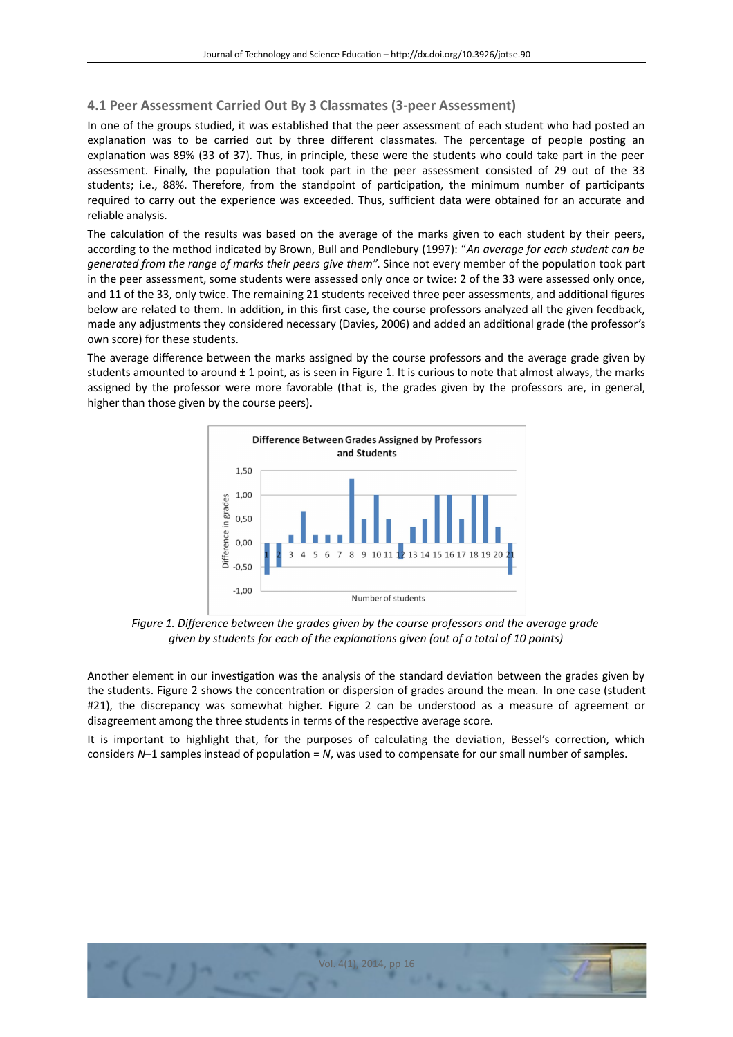# **4.1 Peer Assessment Carried Out By 3 Classmates (3-peer Assessment)**

In one of the groups studied, it was established that the peer assessment of each student who had posted an explanation was to be carried out by three different classmates. The percentage of people posting an explanation was 89% (33 of 37). Thus, in principle, these were the students who could take part in the peer assessment. Finally, the population that took part in the peer assessment consisted of 29 out of the 33 students; i.e., 88%. Therefore, from the standpoint of participation, the minimum number of participants required to carry out the experience was exceeded. Thus, sufficient data were obtained for an accurate and reliable analysis.

The calculation of the results was based on the average of the marks given to each student by their peers, according to the method indicated by Brown, Bull and Pendlebury (1997): "*An average for each student can be generated from the range of marks their peers give them*". Since not every member of the populaton took part in the peer assessment, some students were assessed only once or twice: 2 of the 33 were assessed only once, and 11 of the 33, only twice. The remaining 21 students received three peer assessments, and additional figures below are related to them. In additon, in this frst case, the course professors analyzed all the given feedback, made any adjustments they considered necessary (Davies, 2006) and added an additonal grade (the professor's own score) for these students.

The average diference between the marks assigned by the course professors and the average grade given by students amounted to around  $\pm 1$  point, as is seen in Figure 1. It is curious to note that almost always, the marks assigned by the professor were more favorable (that is, the grades given by the professors are, in general, higher than those given by the course peers).



*Figure 1. Diference between the grades given by the course professors and the average grade given by students for each of the explanatons given (out of a total of 10 points)*

Another element in our investigation was the analysis of the standard deviation between the grades given by the students. Figure 2 shows the concentration or dispersion of grades around the mean. In one case (student #21), the discrepancy was somewhat higher. Figure 2 can be understood as a measure of agreement or disagreement among the three students in terms of the respective average score.

It is important to highlight that, for the purposes of calculating the deviation, Bessel's correction, which considers *N*-1 samples instead of population = *N*, was used to compensate for our small number of samples.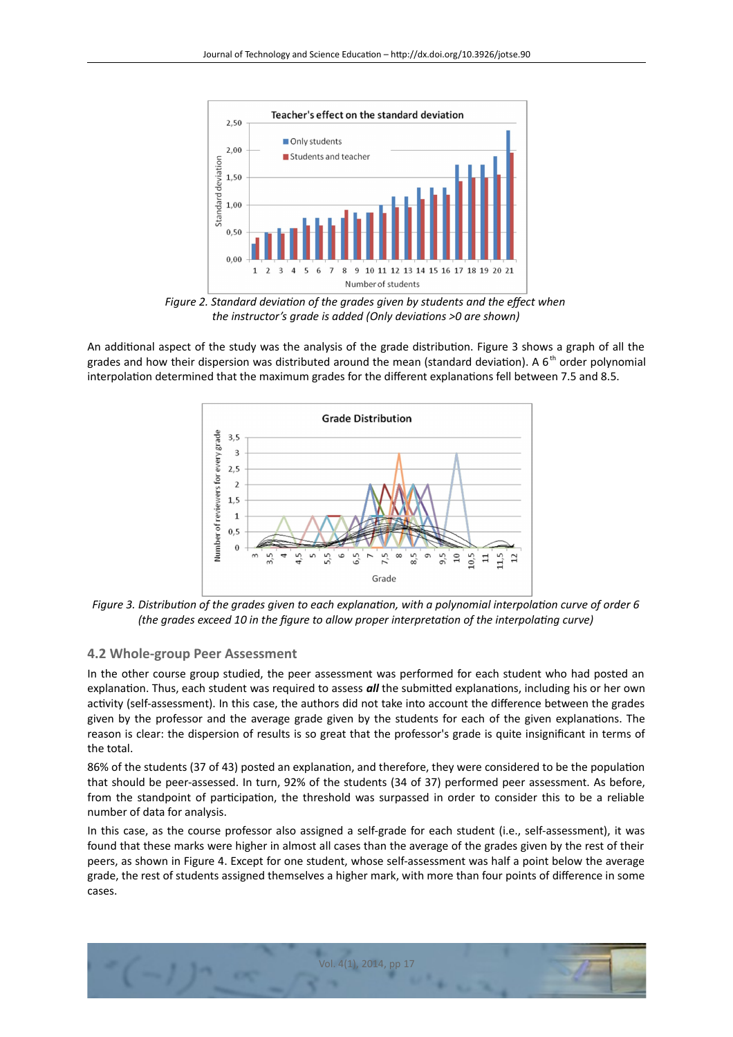

Figure 2. Standard deviation of the grades given by students and the effect when *the instructor's grade is added (Only deviatons >0 are shown)*

An additional aspect of the study was the analysis of the grade distribution. Figure 3 shows a graph of all the grades and how their dispersion was distributed around the mean (standard deviation). A  $6<sup>th</sup>$  order polynomial interpolation determined that the maximum grades for the different explanations fell between 7.5 and 8.5.



*Figure 3. Distributon of the grades given to each explanaton, with a polynomial interpolaton curve of order 6 (the grades exceed 10 in the fgure to allow proper interpretaton of the interpolatng curve)*

## **4.2 Whole-group Peer Assessment**

In the other course group studied, the peer assessment was performed for each student who had posted an explanation. Thus, each student was required to assess *all* the submitted explanations, including his or her own activity (self-assessment). In this case, the authors did not take into account the difference between the grades given by the professor and the average grade given by the students for each of the given explanatons. The reason is clear: the dispersion of results is so great that the professor's grade is quite insignifcant in terms of the total.

86% of the students (37 of 43) posted an explanation, and therefore, they were considered to be the population that should be peer-assessed. In turn, 92% of the students (34 of 37) performed peer assessment. As before, from the standpoint of participation, the threshold was surpassed in order to consider this to be a reliable number of data for analysis.

In this case, as the course professor also assigned a self-grade for each student (i.e., self-assessment), it was found that these marks were higher in almost all cases than the average of the grades given by the rest of their peers, as shown in Figure 4. Except for one student, whose self-assessment was half a point below the average grade, the rest of students assigned themselves a higher mark, with more than four points of diference in some cases.

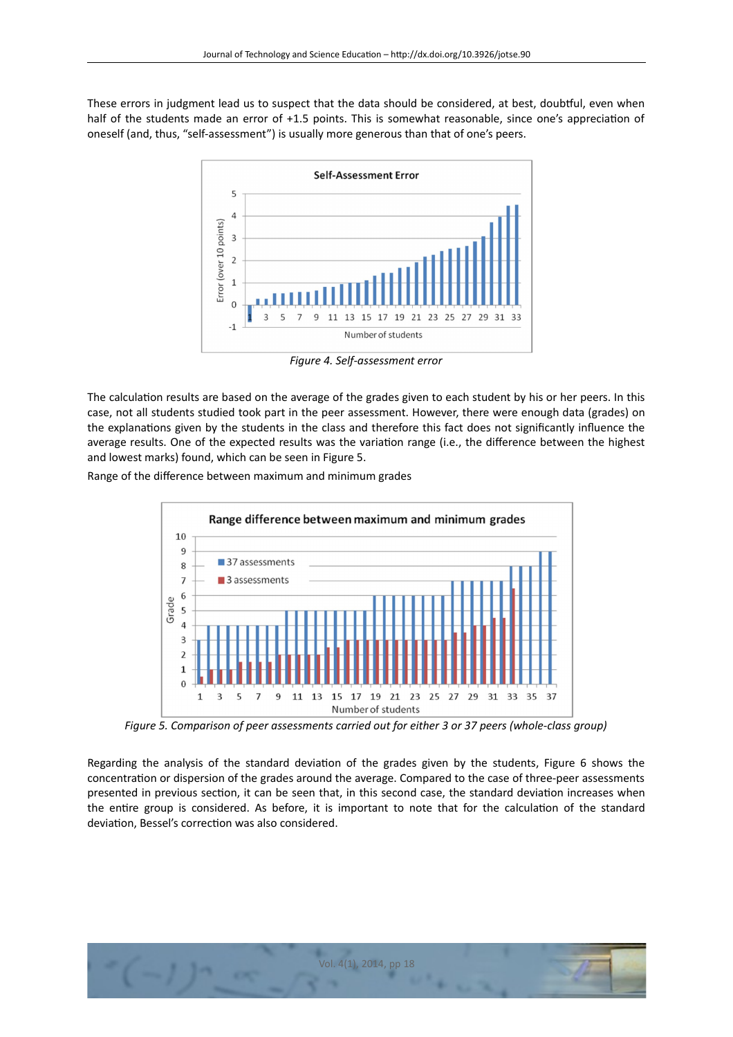These errors in judgment lead us to suspect that the data should be considered, at best, doubtful, even when half of the students made an error of +1.5 points. This is somewhat reasonable, since one's appreciation of oneself (and, thus, "self-assessment") is usually more generous than that of one's peers.



*Figure 4. Self-assessment error*

The calculation results are based on the average of the grades given to each student by his or her peers. In this case, not all students studied took part in the peer assessment. However, there were enough data (grades) on the explanatons given by the students in the class and therefore this fact does not signifcantly infuence the average results. One of the expected results was the variaton range (i.e., the diference between the highest and lowest marks) found, which can be seen in Figure 5.

Range of the diference between maximum and minimum grades



*Figure 5. Comparison of peer assessments carried out for either 3 or 37 peers (whole-class group)*

Regarding the analysis of the standard deviaton of the grades given by the students, Figure 6 shows the concentraton or dispersion of the grades around the average. Compared to the case of three-peer assessments presented in previous section, it can be seen that, in this second case, the standard deviation increases when the entire group is considered. As before, it is important to note that for the calculation of the standard deviation, Bessel's correction was also considered.

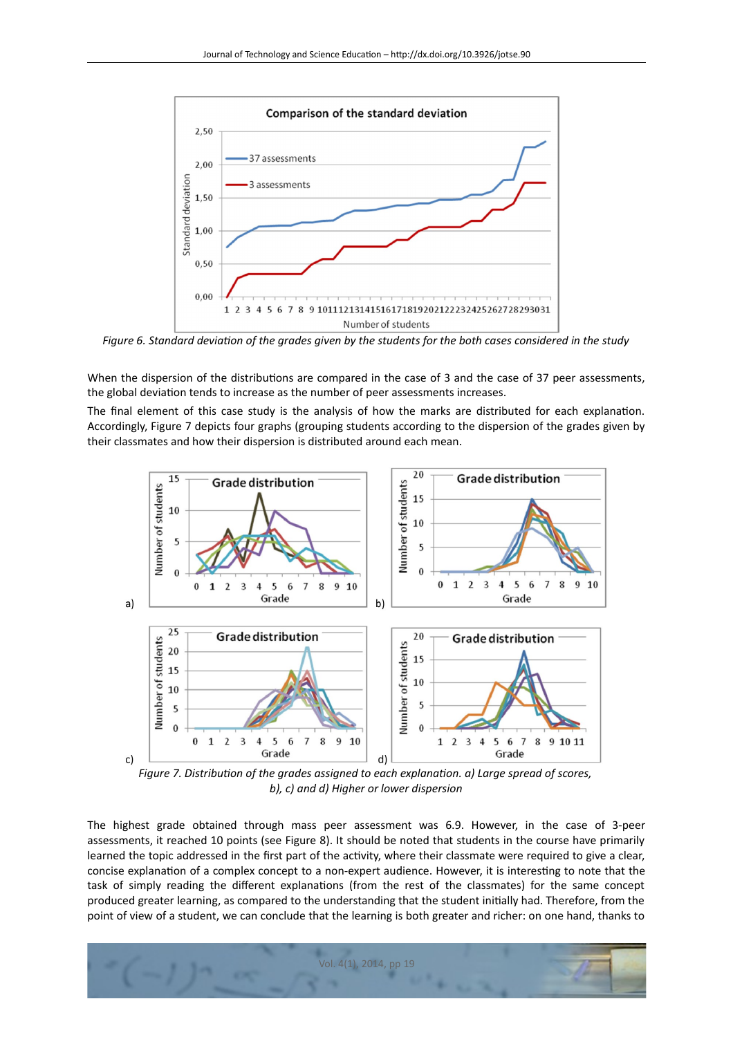

*Figure 6. Standard deviaton of the grades given by the students for the both cases considered in the study*

When the dispersion of the distributions are compared in the case of 3 and the case of 37 peer assessments, the global deviaton tends to increase as the number of peer assessments increases.

The fnal element of this case study is the analysis of how the marks are distributed for each explanaton. Accordingly, Figure 7 depicts four graphs (grouping students according to the dispersion of the grades given by their classmates and how their dispersion is distributed around each mean.



*Figure 7. Distribution of the grades assigned to each explanation. a) Large spread of scores, b), c) and d) Higher or lower dispersion*

The highest grade obtained through mass peer assessment was 6.9. However, in the case of 3-peer assessments, it reached 10 points (see Figure 8). It should be noted that students in the course have primarily learned the topic addressed in the first part of the activity, where their classmate were required to give a clear, concise explanation of a complex concept to a non-expert audience. However, it is interesting to note that the task of simply reading the different explanations (from the rest of the classmates) for the same concept produced greater learning, as compared to the understanding that the student initally had. Therefore, from the point of view of a student, we can conclude that the learning is both greater and richer: on one hand, thanks to

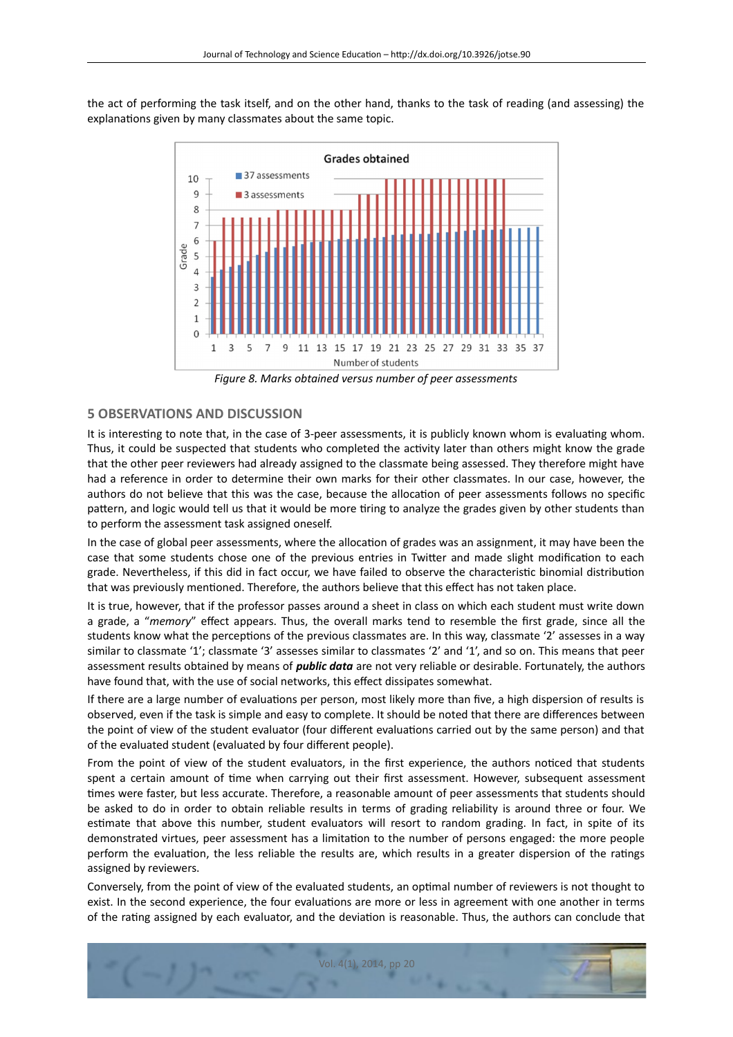the act of performing the task itself, and on the other hand, thanks to the task of reading (and assessing) the explanations given by many classmates about the same topic.



*Figure 8. Marks obtained versus number of peer assessments*

## **5 OBSERVATIONS AND DISCUSSION**

It is interesting to note that, in the case of 3-peer assessments, it is publicly known whom is evaluating whom. Thus, it could be suspected that students who completed the actvity later than others might know the grade that the other peer reviewers had already assigned to the classmate being assessed. They therefore might have had a reference in order to determine their own marks for their other classmates. In our case, however, the authors do not believe that this was the case, because the allocation of peer assessments follows no specific patern, and logic would tell us that it would be more tring to analyze the grades given by other students than to perform the assessment task assigned oneself.

In the case of global peer assessments, where the allocation of grades was an assignment, it may have been the case that some students chose one of the previous entries in Twiter and made slight modifcaton to each grade. Nevertheless, if this did in fact occur, we have failed to observe the characteristc binomial distributon that was previously mentoned. Therefore, the authors believe that this efect has not taken place.

It is true, however, that if the professor passes around a sheet in class on which each student must write down a grade, a "*memory*" efect appears. Thus, the overall marks tend to resemble the frst grade, since all the students know what the perceptions of the previous classmates are. In this way, classmate '2' assesses in a way similar to classmate '1'; classmate '3' assesses similar to classmates '2' and '1', and so on. This means that peer assessment results obtained by means of *public data* are not very reliable or desirable. Fortunately, the authors have found that, with the use of social networks, this efect dissipates somewhat.

If there are a large number of evaluations per person, most likely more than five, a high dispersion of results is observed, even if the task is simple and easy to complete. It should be noted that there are diferences between the point of view of the student evaluator (four diferent evaluatons carried out by the same person) and that of the evaluated student (evaluated by four diferent people).

From the point of view of the student evaluators, in the first experience, the authors noticed that students spent a certain amount of time when carrying out their first assessment. However, subsequent assessment tmes were faster, but less accurate. Therefore, a reasonable amount of peer assessments that students should be asked to do in order to obtain reliable results in terms of grading reliability is around three or four. We estmate that above this number, student evaluators will resort to random grading. In fact, in spite of its demonstrated virtues, peer assessment has a limitaton to the number of persons engaged: the more people perform the evaluation, the less reliable the results are, which results in a greater dispersion of the ratings assigned by reviewers.

Conversely, from the point of view of the evaluated students, an optmal number of reviewers is not thought to exist. In the second experience, the four evaluations are more or less in agreement with one another in terms of the ratng assigned by each evaluator, and the deviaton is reasonable. Thus, the authors can conclude that

Vol. 4(1), 2014, pp 20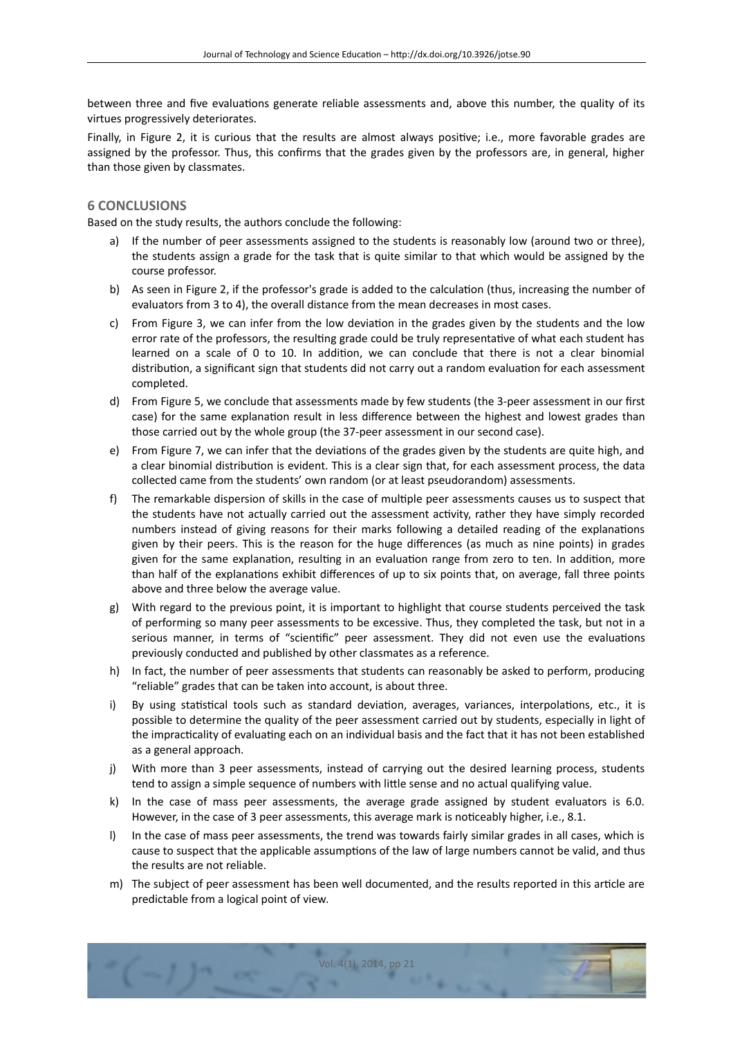between three and five evaluations generate reliable assessments and, above this number, the quality of its virtues progressively deteriorates.

Finally, in Figure 2, it is curious that the results are almost always positve; i.e., more favorable grades are assigned by the professor. Thus, this confrms that the grades given by the professors are, in general, higher than those given by classmates.

### **6 CONCLUSIONS**

Based on the study results, the authors conclude the following:

- a) If the number of peer assessments assigned to the students is reasonably low (around two or three), the students assign a grade for the task that is quite similar to that which would be assigned by the course professor.
- b) As seen in Figure 2, if the professor's grade is added to the calculaton (thus, increasing the number of evaluators from 3 to 4), the overall distance from the mean decreases in most cases.
- c) From Figure 3, we can infer from the low deviation in the grades given by the students and the low error rate of the professors, the resulting grade could be truly representative of what each student has learned on a scale of 0 to 10. In additon, we can conclude that there is not a clear binomial distribution, a significant sign that students did not carry out a random evaluation for each assessment completed.
- d) From Figure 5, we conclude that assessments made by few students (the 3-peer assessment in our frst case) for the same explanaton result in less diference between the highest and lowest grades than those carried out by the whole group (the 37-peer assessment in our second case).
- e) From Figure 7, we can infer that the deviatons of the grades given by the students are quite high, and a clear binomial distribution is evident. This is a clear sign that, for each assessment process, the data collected came from the students' own random (or at least pseudorandom) assessments.
- f) The remarkable dispersion of skills in the case of multple peer assessments causes us to suspect that the students have not actually carried out the assessment activity, rather they have simply recorded numbers instead of giving reasons for their marks following a detailed reading of the explanatons given by their peers. This is the reason for the huge diferences (as much as nine points) in grades given for the same explanation, resulting in an evaluation range from zero to ten. In addition, more than half of the explanatons exhibit diferences of up to six points that, on average, fall three points above and three below the average value.
- g) With regard to the previous point, it is important to highlight that course students perceived the task of performing so many peer assessments to be excessive. Thus, they completed the task, but not in a serious manner, in terms of "scientific" peer assessment. They did not even use the evaluations previously conducted and published by other classmates as a reference.
- h) In fact, the number of peer assessments that students can reasonably be asked to perform, producing "reliable" grades that can be taken into account, is about three.
- i) By using statistical tools such as standard deviation, averages, variances, interpolations, etc., it is possible to determine the quality of the peer assessment carried out by students, especially in light of the impracticality of evaluating each on an individual basis and the fact that it has not been established as a general approach.
- j) With more than 3 peer assessments, instead of carrying out the desired learning process, students tend to assign a simple sequence of numbers with litle sense and no actual qualifying value.
- k) In the case of mass peer assessments, the average grade assigned by student evaluators is 6.0. However, in the case of 3 peer assessments, this average mark is noticeably higher, i.e., 8.1.
- l) In the case of mass peer assessments, the trend was towards fairly similar grades in all cases, which is cause to suspect that the applicable assumptions of the law of large numbers cannot be valid, and thus the results are not reliable.
- m) The subject of peer assessment has been well documented, and the results reported in this artcle are predictable from a logical point of view.

Vol. 4(1), 2014, pp 21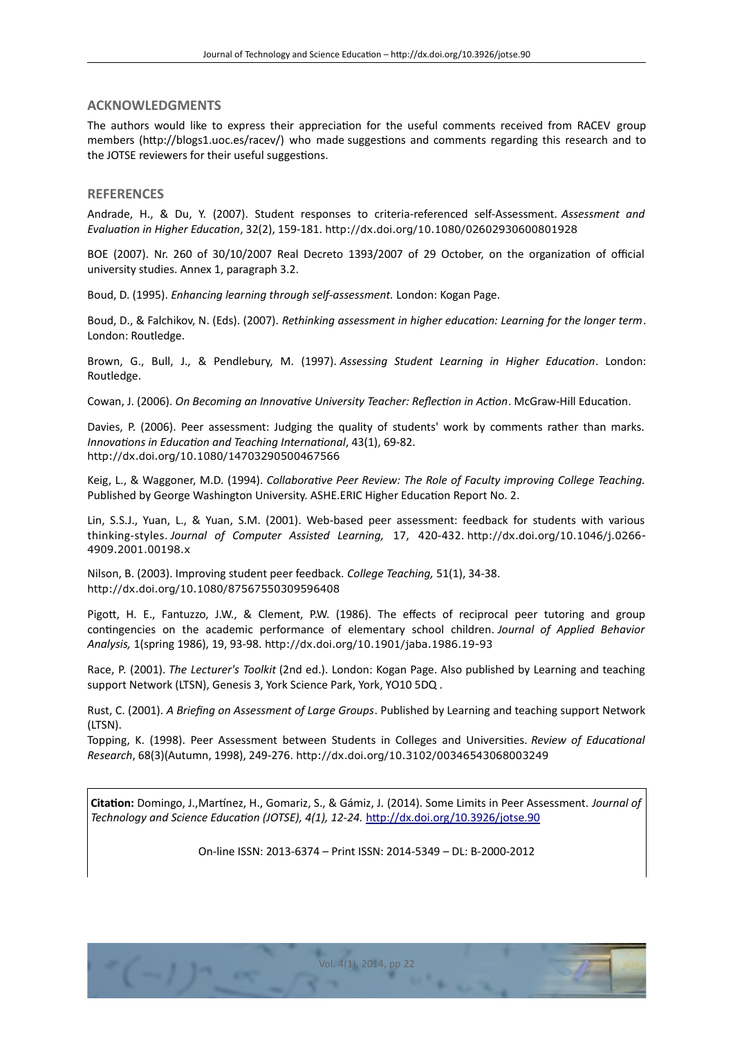## **ACKNOWLEDGMENTS**

The authors would like to express their appreciation for the useful comments received from RACEV group members (htp://blogs1.uoc.es/racev/) who made suggestons and comments regarding this research and to the JOTSE reviewers for their useful suggestions.

#### **REFERENCES**

Andrade, H., & Du, Y. (2007). Student responses to criteria-referenced self-Assessment. *Assessment and Evaluaton in Higher Educaton*, 32(2), 159-181. <http://dx.doi.org/10.1080/02602930600801928>

BOE (2007). Nr. 260 of 30/10/2007 Real Decreto 1393/2007 of 29 October, on the organization of official university studies. Annex 1, paragraph 3.2.

Boud, D. (1995). *Enhancing learning through self-assessment.* London: Kogan Page.

Boud, D., & Falchikov, N. (Eds). (2007). *Rethinking assessment in higher educaton: Learning for the longer term*. London: Routledge.

Brown, G., Bull, J., & Pendlebury, M. (1997). *Assessing Student Learning in Higher Educaton*. London: Routledge.

Cowan, J. (2006). *On Becoming an Innovatve University Teacher: Refecton in Acton*. McGraw-Hill Educaton.

Davies, P. (2006). Peer assessment: Judging the quality of students' work by comments rather than marks. *Innovatons in Educaton and Teaching Internatonal*, 43(1), 69-82. <http://dx.doi.org/10.1080/14703290500467566>

Keig, L., & Waggoner, M.D. (1994). *Collaboratve Peer Review: The Role of Faculty improving College Teaching.* Published by George Washington University. ASHE.ERIC Higher Education Report No. 2.

Lin, S.S.J., Yuan, L., & Yuan, S.M. (2001). Web-based peer assessment: feedback for students with various thinking-styles. *Journal of Computer Assisted Learning,* 17, 420-432. [http://dx.doi.org/10.1046/j.0266-](http://dx.doi.org/10.1046/j.0266-4909.2001.00198.x) [4909.2001.00198.x](http://dx.doi.org/10.1046/j.0266-4909.2001.00198.x)

Nilson, B. (2003). Improving student peer feedback. *College Teaching,* 51(1), 34-38. <http://dx.doi.org/10.1080/87567550309596408>

Pigott, H. E., Fantuzzo, J.W., & Clement, P.W. (1986). The effects of reciprocal peer tutoring and group contngencies on the academic performance of elementary school children. *Journal of Applied Behavior Analysis,* 1(spring 1986), 19, 93-98. <http://dx.doi.org/10.1901/jaba.1986.19-93>

Race, P. (2001). *The Lecturer's Toolkit* (2nd ed.). London: Kogan Page. Also published by Learning and teaching support Network (LTSN), Genesis 3, York Science Park, York, YO10 5DQ .

Rust, C. (2001). *A Briefng on Assessment of Large Groups*. Published by Learning and teaching support Network (LTSN).

Topping, K. (1998). Peer Assessment between Students in Colleges and Universites. *Review of Educatonal Research*, 68(3)(Autumn, 1998), 249-276. <http://dx.doi.org/10.3102/00346543068003249>

**Citaton:** Domingo, J.,Martnez, H., Gomariz, S., & Gámiz, J. (2014). Some Limits in Peer Assessment. *Journal of Technology and Science Educaton (JOTSE), 4(1), 12-24.* [htp://dx.doi.org/10.3926/jotse.90](http://dx.doi.org/10.3926/jotse.90)

On-line ISSN: 2013-6374 – Print ISSN: 2014-5349 – DL: B-2000-2012

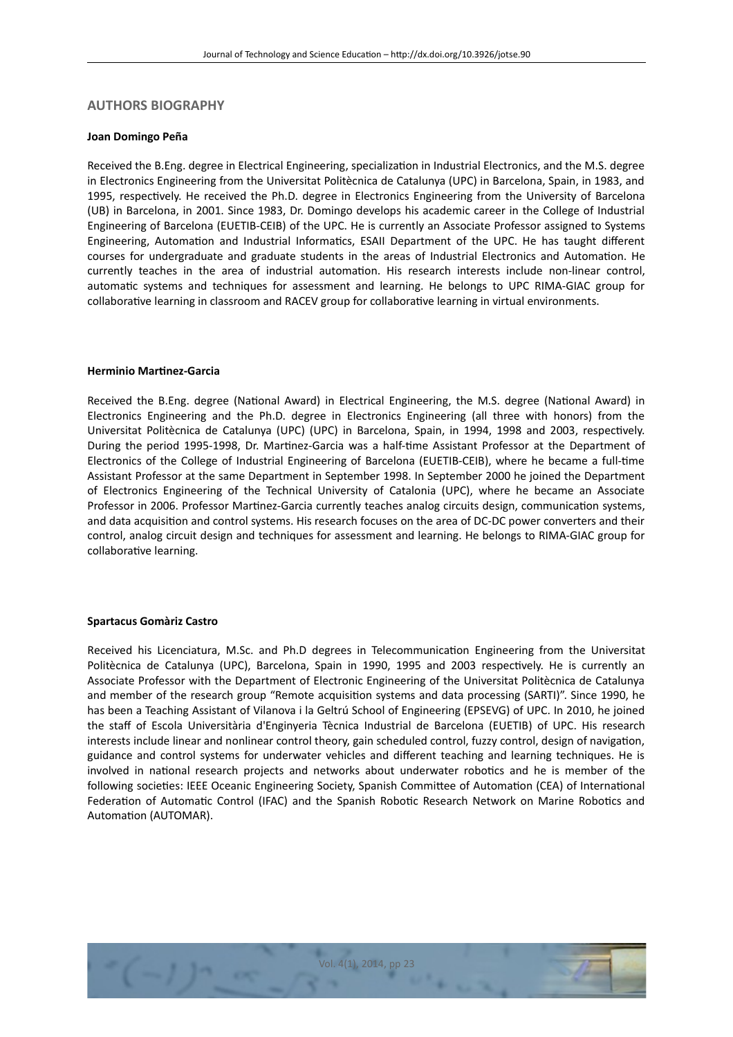### **AUTHORS BIOGRAPHY**

#### **Joan Domingo Peña**

Received the B.Eng. degree in Electrical Engineering, specializaton in Industrial Electronics, and the M.S. degree in Electronics Engineering from the Universitat Politècnica de Catalunya (UPC) in Barcelona, Spain, in 1983, and 1995, respectvely. He received the Ph.D. degree in Electronics Engineering from the University of Barcelona (UB) in Barcelona, in 2001. Since 1983, Dr. Domingo develops his academic career in the College of Industrial Engineering of Barcelona (EUETIB-CEIB) of the UPC. He is currently an Associate Professor assigned to Systems Engineering, Automation and Industrial Informatics, ESAII Department of the UPC. He has taught different courses for undergraduate and graduate students in the areas of Industrial Electronics and Automaton. He currently teaches in the area of industrial automation. His research interests include non-linear control, automatic systems and techniques for assessment and learning. He belongs to UPC RIMA-GIAC group for collaborative learning in classroom and RACEV group for collaborative learning in virtual environments.

### **Herminio Martnez-Garcia**

Received the B.Eng. degree (National Award) in Electrical Engineering, the M.S. degree (National Award) in Electronics Engineering and the Ph.D. degree in Electronics Engineering (all three with honors) from the Universitat Politècnica de Catalunya (UPC) (UPC) in Barcelona, Spain, in 1994, 1998 and 2003, respectvely. During the period 1995-1998, Dr. Martnez-Garcia was a half-tme Assistant Professor at the Department of Electronics of the College of Industrial Engineering of Barcelona (EUETIB-CEIB), where he became a full-tme Assistant Professor at the same Department in September 1998. In September 2000 he joined the Department of Electronics Engineering of the Technical University of Catalonia (UPC), where he became an Associate Professor in 2006. Professor Martinez-Garcia currently teaches analog circuits design, communication systems, and data acquisiton and control systems. His research focuses on the area of DC-DC power converters and their control, analog circuit design and techniques for assessment and learning. He belongs to RIMA-GIAC group for collaborative learning.

#### **Spartacus Gomàriz Castro**

Received his Licenciatura, M.Sc. and Ph.D degrees in Telecommunication Engineering from the Universitat Politècnica de Catalunya (UPC), Barcelona, Spain in 1990, 1995 and 2003 respectvely. He is currently an Associate Professor with the Department of Electronic Engineering of the Universitat Politècnica de Catalunya and member of the research group "Remote acquisiton systems and data processing (SARTI)". Since 1990, he has been a Teaching Assistant of Vilanova i la Geltrú School of Engineering (EPSEVG) of UPC. In 2010, he joined the staf of Escola Universitària d'Enginyeria Tècnica Industrial de Barcelona (EUETIB) of UPC. His research interests include linear and nonlinear control theory, gain scheduled control, fuzzy control, design of navigation, guidance and control systems for underwater vehicles and diferent teaching and learning techniques. He is involved in national research projects and networks about underwater robotics and he is member of the following societies: IEEE Oceanic Engineering Society, Spanish Committee of Automation (CEA) of International Federation of Automatic Control (IFAC) and the Spanish Robotic Research Network on Marine Robotics and Automation (AUTOMAR).